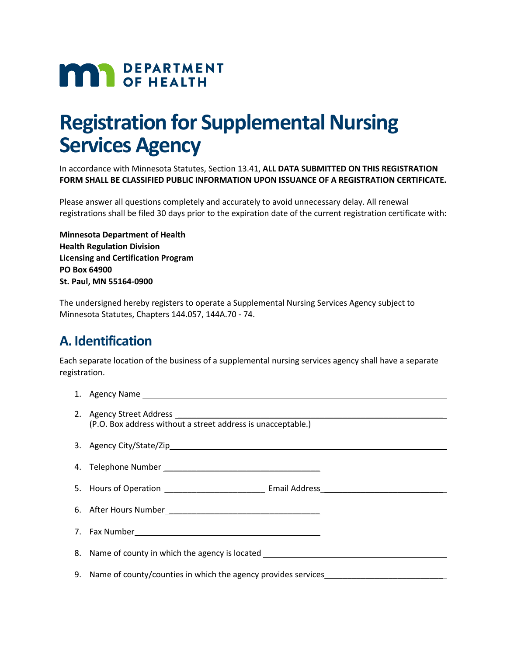

# **Registration for Supplemental Nursing Services Agency**

In accordance with Minnesota Statutes, Section 13.41, **ALL DATA SUBMITTED ON THIS REGISTRATION FORM SHALL BE CLASSIFIED PUBLIC INFORMATION UPON ISSUANCE OF A REGISTRATION CERTIFICATE.** 

Please answer all questions completely and accurately to avoid unnecessary delay. All renewal registrations shall be filed 30 days prior to the expiration date of the current registration certificate with:

**Minnesota Department of Health Health Regulation Division Licensing and Certification Program PO Box 64900 St. Paul, MN 55164-0900**

The undersigned hereby registers to operate a Supplemental Nursing Services Agency subject to Minnesota Statutes, Chapters 144.057, 144A.70 - 74.

## **A. Identification**

Each separate location of the business of a supplemental nursing services agency shall have a separate registration.

| (P.O. Box address without a street address is unacceptable.)                     |
|----------------------------------------------------------------------------------|
|                                                                                  |
|                                                                                  |
|                                                                                  |
|                                                                                  |
|                                                                                  |
| 8. Name of county in which the agency is located _______________________________ |
| 9. Name of county/counties in which the agency provides services                 |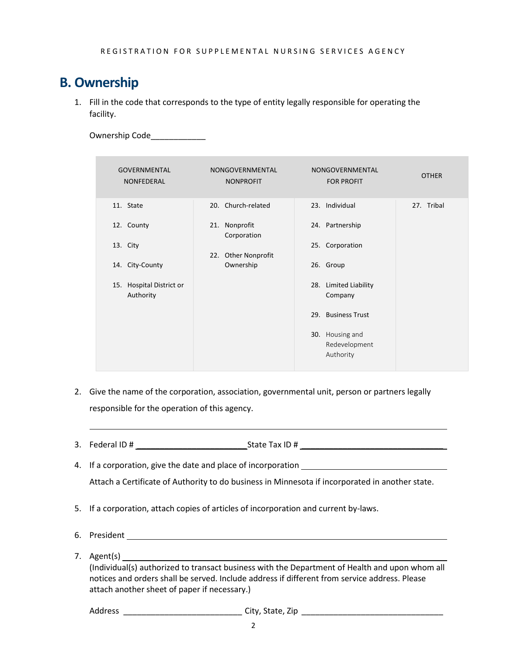# **B. Ownership**

1. Fill in the code that corresponds to the type of entity legally responsible for operating the facility.

Ownership Code\_\_\_\_\_\_\_\_\_\_\_\_

| <b>GOVERNMENTAL</b>                                                                             | NONGOVERNMENTAL                                                                        | NONGOVERNMENTAL                                                                                                                                                              | <b>OTHER</b> |
|-------------------------------------------------------------------------------------------------|----------------------------------------------------------------------------------------|------------------------------------------------------------------------------------------------------------------------------------------------------------------------------|--------------|
| <b>NONFEDERAL</b>                                                                               | <b>NONPROFIT</b>                                                                       | <b>FOR PROFIT</b>                                                                                                                                                            |              |
| 11. State<br>12. County<br>13. City<br>14. City-County<br>15. Hospital District or<br>Authority | 20. Church-related<br>21. Nonprofit<br>Corporation<br>22. Other Nonprofit<br>Ownership | 23. Individual<br>24. Partnership<br>25. Corporation<br>26. Group<br>28. Limited Liability<br>Company<br>29. Business Trust<br>30. Housing and<br>Redevelopment<br>Authority | 27. Tribal   |

- 2. Give the name of the corporation, association, governmental unit, person or partners legally responsible for the operation of this agency.
- 3. Federal ID # \_\_\_\_\_\_\_\_\_\_\_\_\_\_\_\_\_\_\_\_\_\_\_\_State Tax ID # \_\_\_\_\_\_\_\_\_\_\_\_\_\_\_\_\_\_\_\_\_\_\_\_\_\_\_\_\_\_\_
- 4. If a corporation, give the date and place of incorporation Attach a Certificate of Authority to do business in Minnesota if incorporated in another state.
- 5. If a corporation, attach copies of articles of incorporation and current by-laws.
- 6. President
- 7. Agent(s)

(Individual(s) authorized to transact business with the Department of Health and upon whom all notices and orders shall be served. Include address if different from service address. Please attach another sheet of paper if necessary.)

Address \_\_\_\_\_\_\_\_\_\_\_\_\_\_\_\_\_\_\_\_\_\_\_\_\_\_ City, State, Zip \_\_\_\_\_\_\_\_\_\_\_\_\_\_\_\_\_\_\_\_\_\_\_\_\_\_\_\_\_\_\_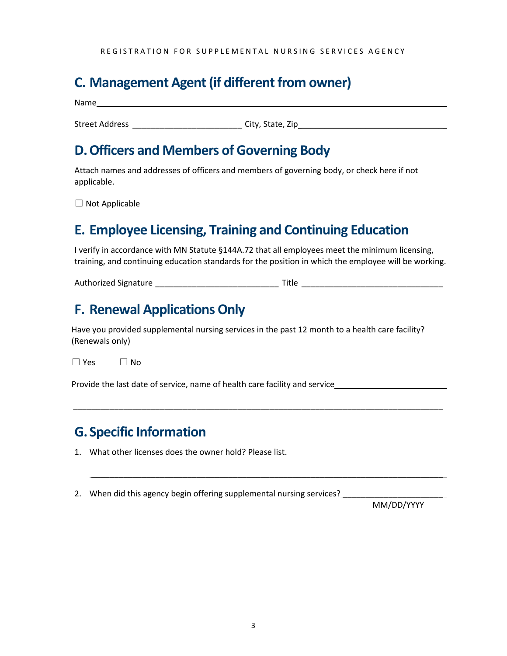# **C. Management Agent (if different from owner)**

 $Name$ 

Street Address **Exercise 2** and Street Address and Street Address and Street Address and Street Address and Street

### **D.Officers and Members of Governing Body**

Attach names and addresses of officers and members of governing body, or check here if not applicable.

 $\Box$  Not Applicable

## **E. Employee Licensing, Training and Continuing Education**

I verify in accordance with MN Statute §144A.72 that all employees meet the minimum licensing, training, and continuing education standards for the position in which the employee will be working.

Authorized Signature and the state of the Title and Title and Title and the state of the state of the state of

### **F. Renewal Applications Only**

Have you provided supplemental nursing services in the past 12 month to a health care facility? (Renewals only)

\_\_\_\_\_\_\_\_\_\_\_\_\_\_\_\_\_\_\_\_\_\_\_\_\_\_\_\_\_\_\_\_\_\_\_\_\_\_\_\_\_\_\_\_\_\_\_\_\_\_\_\_\_\_\_\_\_\_\_\_\_\_\_\_\_\_\_\_\_\_\_\_\_\_\_\_\_\_\_\_\_

\_\_\_\_\_\_\_\_\_\_\_\_\_\_\_\_\_\_\_\_\_\_\_\_\_\_\_\_\_\_\_\_\_\_\_\_\_\_\_\_\_\_\_\_\_\_\_\_\_\_\_\_\_\_\_\_\_\_\_\_\_\_\_\_\_\_\_\_\_\_\_\_\_\_\_\_\_

 $\Box$  Yes  $\Box$  No

Provide the last date of service, name of health care facility and service

# **G. Specific Information**

1. What other licenses does the owner hold? Please list.

2. When did this agency begin offering supplemental nursing services?

MM/DD/YYYY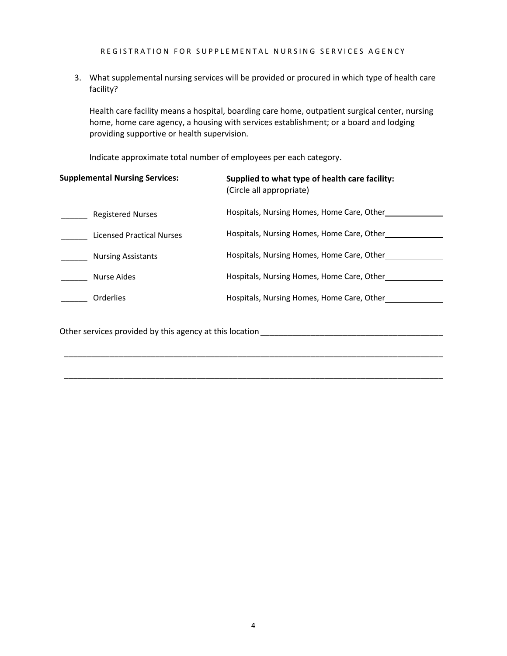#### REGISTRATION FOR SUPPLEMENTAL NURSING SERVICES AGENCY

3. What supplemental nursing services will be provided or procured in which type of health care facility?

Health care facility means a hospital, boarding care home, outpatient surgical center, nursing home, home care agency, a housing with services establishment; or a board and lodging providing supportive or health supervision.

Indicate approximate total number of employees per each category.

| <b>Supplemental Nursing Services:</b>                   |                                  | Supplied to what type of health care facility:<br>(Circle all appropriate) |  |
|---------------------------------------------------------|----------------------------------|----------------------------------------------------------------------------|--|
|                                                         | <b>Registered Nurses</b>         | Hospitals, Nursing Homes, Home Care, Other                                 |  |
|                                                         | <b>Licensed Practical Nurses</b> | Hospitals, Nursing Homes, Home Care, Other                                 |  |
|                                                         | <b>Nursing Assistants</b>        | Hospitals, Nursing Homes, Home Care, Other                                 |  |
|                                                         | Nurse Aides                      | Hospitals, Nursing Homes, Home Care, Other                                 |  |
|                                                         | Orderlies                        | Hospitals, Nursing Homes, Home Care, Other                                 |  |
| Other services provided by this agency at this location |                                  |                                                                            |  |

\_\_\_\_\_\_\_\_\_\_\_\_\_\_\_\_\_\_\_\_\_\_\_\_\_\_\_\_\_\_\_\_\_\_\_\_\_\_\_\_\_\_\_\_\_\_\_\_\_\_\_\_\_\_\_\_\_\_\_\_\_\_\_\_\_\_\_\_\_\_\_\_\_\_\_\_\_\_\_\_\_\_\_

\_\_\_\_\_\_\_\_\_\_\_\_\_\_\_\_\_\_\_\_\_\_\_\_\_\_\_\_\_\_\_\_\_\_\_\_\_\_\_\_\_\_\_\_\_\_\_\_\_\_\_\_\_\_\_\_\_\_\_\_\_\_\_\_\_\_\_\_\_\_\_\_\_\_\_\_\_\_\_\_\_\_\_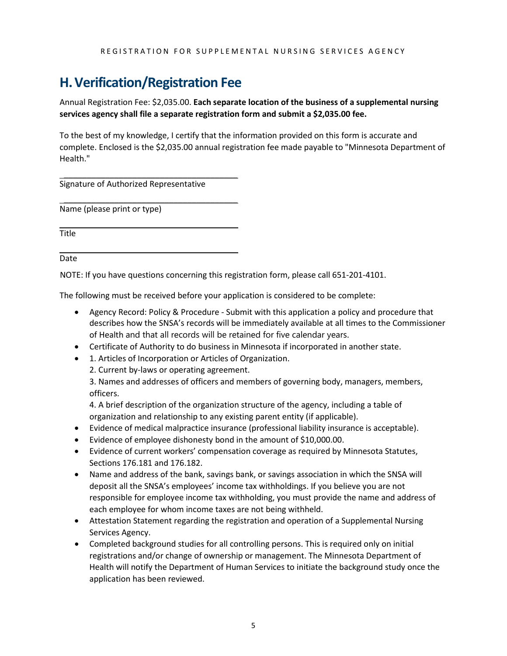# **H.Verification/Registration Fee**

Annual Registration Fee: \$2,035.00. **Each separate location of the business of a supplemental nursing services agency shall file a separate registration form and submit a \$2,035.00 fee.**

To the best of my knowledge, I certify that the information provided on this form is accurate and complete. Enclosed is the \$2,035.00 annual registration fee made payable to "Minnesota Department of Health."

\_\_\_\_\_\_\_\_\_\_\_\_\_\_\_\_\_\_\_\_\_\_\_\_\_\_\_\_\_\_\_\_\_\_\_\_\_\_ Signature of Authorized Representative

\_\_\_\_\_\_\_\_\_\_\_\_\_\_\_\_\_\_\_\_\_\_\_\_\_\_\_\_\_\_\_\_\_\_\_\_\_\_

\_\_\_\_\_\_\_\_\_\_\_\_\_\_\_\_\_\_\_\_\_\_\_\_\_\_\_\_\_\_\_\_\_\_\_\_\_\_

\_\_\_\_\_\_\_\_\_\_\_\_\_\_\_\_\_\_\_\_\_\_\_\_\_\_\_\_\_\_\_\_\_\_\_\_\_\_

Name (please print or type)

**Title** 

Date

NOTE: If you have questions concerning this registration form, please call 651-201-4101.

The following must be received before your application is considered to be complete:

- Agency Record: Policy & Procedure Submit with this application a policy and procedure that describes how the SNSA's records will be immediately available at all times to the Commissioner of Health and that all records will be retained for five calendar years.
- Certificate of Authority to do business in Minnesota if incorporated in another state.
- 1. Articles of Incorporation or Articles of Organization.
	- 2. Current by-laws or operating agreement.

3. Names and addresses of officers and members of governing body, managers, members, officers.

4. A brief description of the organization structure of the agency, including a table of organization and relationship to any existing parent entity (if applicable).

- Evidence of medical malpractice insurance (professional liability insurance is acceptable).
- Evidence of employee dishonesty bond in the amount of \$10,000.00.
- Evidence of current workers' compensation coverage as required by Minnesota Statutes, Sections 176.181 and 176.182.
- Name and address of the bank, savings bank, or savings association in which the SNSA will deposit all the SNSA's employees' income tax withholdings. If you believe you are not responsible for employee income tax withholding, you must provide the name and address of each employee for whom income taxes are not being withheld.
- Attestation Statement regarding the registration and operation of a Supplemental Nursing Services Agency.
- Completed background studies for all controlling persons. This is required only on initial registrations and/or change of ownership or management. The Minnesota Department of Health will notify the Department of Human Services to initiate the background study once the application has been reviewed.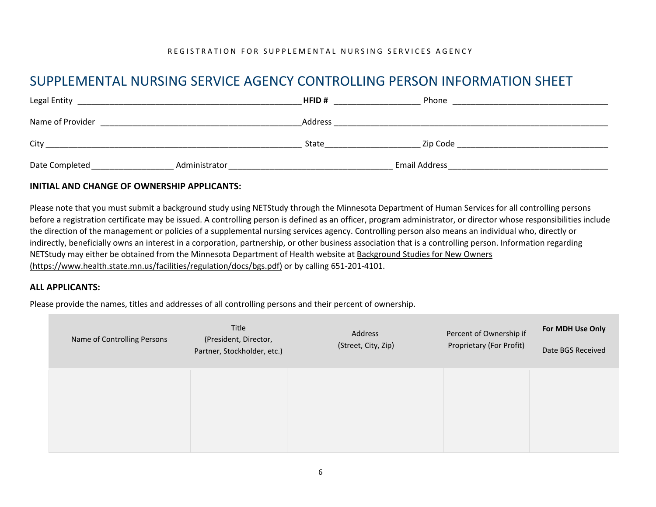#### REGISTRATION FOR SUPPLEMENTAL NURSING SERVICES AGENCY

#### SUPPLEMENTAL NURSING SERVICE AGENCY CONTROLLING PERSON INFORMATION SHEET

| Legal Entity     |               | HFID#        | Phone                |  |
|------------------|---------------|--------------|----------------------|--|
| Name of Provider |               | Address      |                      |  |
| City             |               | <b>State</b> | Zip Code             |  |
| Date Completed   | Administrator |              | <b>Email Address</b> |  |

#### **INITIAL AND CHANGE OF OWNERSHIP APPLICANTS:**

Please note that you must submit a background study using NETStudy through the Minnesota Department of Human Services for all controlling persons before a registration certificate may be issued. A controlling person is defined as an officer, program administrator, or director whose responsibilities include the direction of the management or policies of a supplemental nursing services agency. Controlling person also means an individual who, directly or indirectly, beneficially owns an interest in a corporation, partnership, or other business association that is a controlling person. Information regarding NETStudy may either be obtained from the Minnesota Department of Health website a[t Background Studies for New Owners](https://www.health.state.mn.us/facilities/regulation/docs/bgs.pdf)  [\(https://www.health.state.mn.us/facilities/regulation/docs/bgs.pdf\)](https://www.health.state.mn.us/facilities/regulation/docs/bgs.pdf) or by calling 651-201-4101.

#### **ALL APPLICANTS:**

Please provide the names, titles and addresses of all controlling persons and their percent of ownership.

| Name of Controlling Persons | Title<br>(President, Director,<br>Partner, Stockholder, etc.) | Address<br>(Street, City, Zip) | Percent of Ownership if<br>Proprietary (For Profit) | For MDH Use Only<br>Date BGS Received |
|-----------------------------|---------------------------------------------------------------|--------------------------------|-----------------------------------------------------|---------------------------------------|
|                             |                                                               |                                |                                                     |                                       |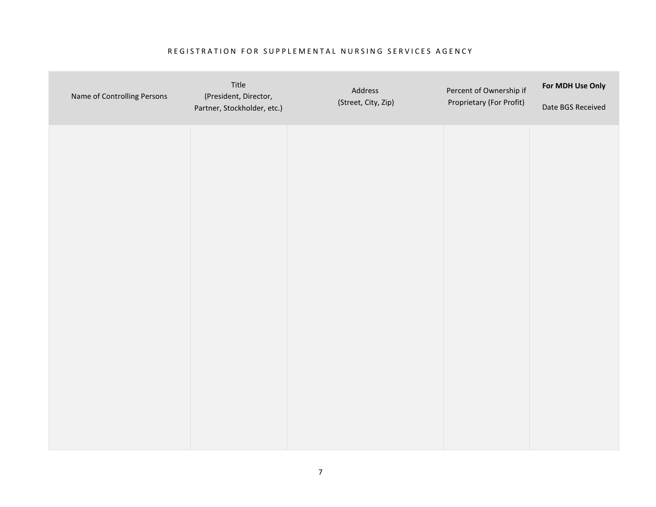#### REGISTRATION FOR SUPPLEMENTAL NURSING SERVICES AGENCY

| Name of Controlling Persons | Title<br>(President, Director,<br>Partner, Stockholder, etc.) | Address<br>(Street, City, Zip) | Percent of Ownership if<br>Proprietary (For Profit) | For MDH Use Only<br>Date BGS Received |
|-----------------------------|---------------------------------------------------------------|--------------------------------|-----------------------------------------------------|---------------------------------------|
|                             |                                                               |                                |                                                     |                                       |
|                             |                                                               |                                |                                                     |                                       |
|                             |                                                               |                                |                                                     |                                       |
|                             |                                                               |                                |                                                     |                                       |
|                             |                                                               |                                |                                                     |                                       |
|                             |                                                               |                                |                                                     |                                       |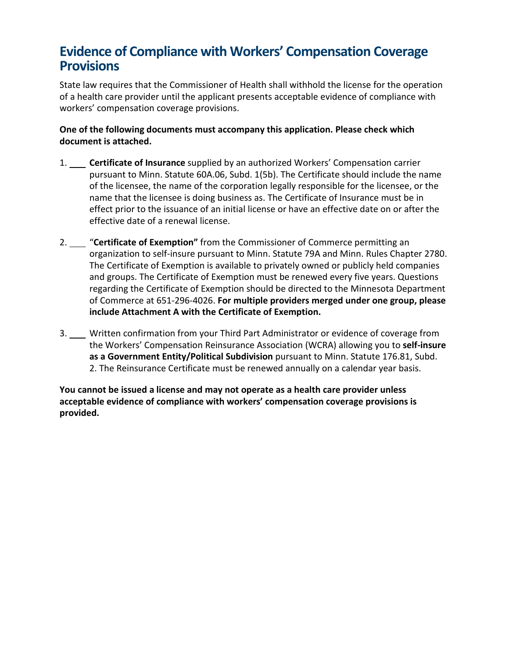### **Evidence of Compliance with Workers' Compensation Coverage Provisions**

State law requires that the Commissioner of Health shall withhold the license for the operation of a health care provider until the applicant presents acceptable evidence of compliance with workers' compensation coverage provisions.

#### **One of the following documents must accompany this application. Please check which document is attached.**

- 1. **Certificate of Insurance** supplied by an authorized Workers' Compensation carrier pursuant to Minn. Statute 60A.06, Subd. 1(5b). The Certificate should include the name of the licensee, the name of the corporation legally responsible for the licensee, or the name that the licensee is doing business as. The Certificate of Insurance must be in effect prior to the issuance of an initial license or have an effective date on or after the effective date of a renewal license.
- 2. **Certificate of Exemption"** from the Commissioner of Commerce permitting an organization to self-insure pursuant to Minn. Statute 79A and Minn. Rules Chapter 2780. The Certificate of Exemption is available to privately owned or publicly held companies and groups. The Certificate of Exemption must be renewed every five years. Questions regarding the Certificate of Exemption should be directed to the Minnesota Department of Commerce at 651-296-4026. **For multiple providers merged under one group, please include Attachment A with the Certificate of Exemption.**
- 3. Written confirmation from your Third Part Administrator or evidence of coverage from the Workers' Compensation Reinsurance Association (WCRA) allowing you to **self-insure as a Government Entity/Political Subdivision** pursuant to Minn. Statute 176.81, Subd. 2. The Reinsurance Certificate must be renewed annually on a calendar year basis.

**You cannot be issued a license and may not operate as a health care provider unless acceptable evidence of compliance with workers' compensation coverage provisions is provided.**